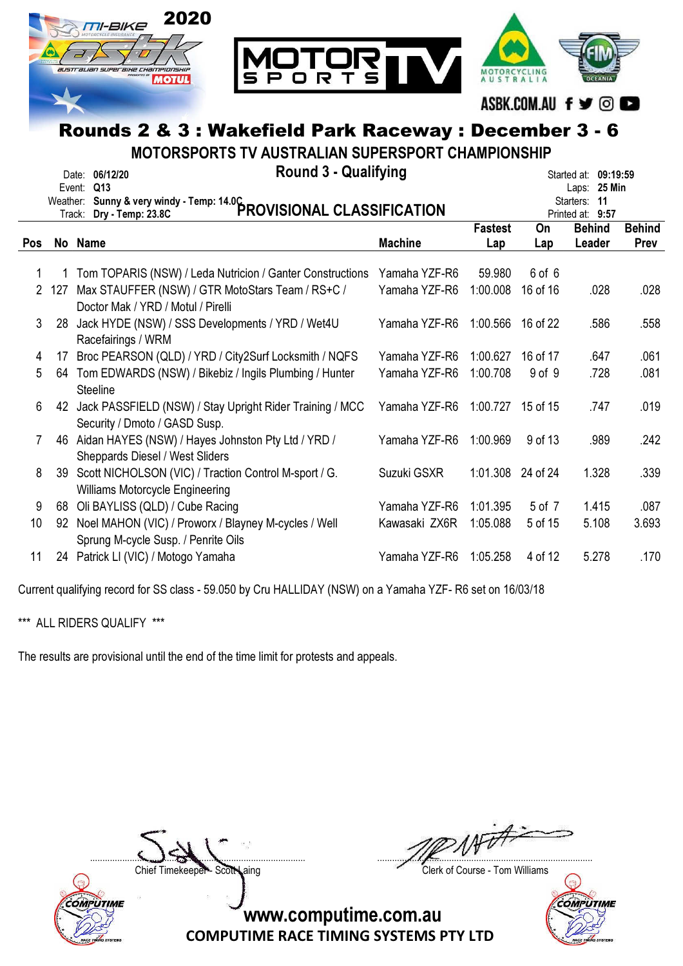

MOTORSPORTS TV AUSTRALIAN SUPERSPORT CHAMPIONSHIP

|     |     | <b>Round 3 - Qualifying</b><br>Date: 06/12/20<br>Event: Q13             |                |                   |          | Started at: 09:19:59<br>Laps: 25 Min<br>Starters: 11 |               |
|-----|-----|-------------------------------------------------------------------------|----------------|-------------------|----------|------------------------------------------------------|---------------|
|     |     | Weather: Sunny & very windy - Temp: 14.0C<br>PROVISIONAL CLASSIFICATION |                |                   |          | Printed at: 9:57                                     |               |
|     |     |                                                                         |                | <b>Fastest</b>    | On       | <b>Behind</b>                                        | <b>Behind</b> |
| Pos |     | No Name                                                                 | <b>Machine</b> | Lap               | Lap      | Leader                                               | Prev          |
|     |     | Tom TOPARIS (NSW) / Leda Nutricion / Ganter Constructions               | Yamaha YZF-R6  | 59.980            | 6 of 6   |                                                      |               |
| 2   | 127 | Max STAUFFER (NSW) / GTR MotoStars Team / RS+C /                        | Yamaha YZF-R6  | 1:00.008          | 16 of 16 | .028                                                 | .028          |
|     |     | Doctor Mak / YRD / Motul / Pirelli                                      |                |                   |          |                                                      |               |
| 3   | 28  | Jack HYDE (NSW) / SSS Developments / YRD / Wet4U                        | Yamaha YZF-R6  | 1:00.566          | 16 of 22 | .586                                                 | .558          |
|     |     | Racefairings / WRM                                                      |                |                   |          |                                                      |               |
| 4   | 17  | Broc PEARSON (QLD) / YRD / City2Surf Locksmith / NQFS                   | Yamaha YZF-R6  | 1:00.627          | 16 of 17 | .647                                                 | .061          |
| 5   |     | 64 Tom EDWARDS (NSW) / Bikebiz / Ingils Plumbing / Hunter               | Yamaha YZF-R6  | 1:00.708          | 9 of 9   | .728                                                 | .081          |
|     |     | <b>Steeline</b>                                                         |                |                   |          |                                                      |               |
| 6   |     | 42 Jack PASSFIELD (NSW) / Stay Upright Rider Training / MCC             | Yamaha YZF-R6  | 1:00.727          | 15 of 15 | .747                                                 | .019          |
|     |     | Security / Dmoto / GASD Susp.                                           |                |                   |          |                                                      |               |
| 7   | 46  | Aidan HAYES (NSW) / Hayes Johnston Pty Ltd / YRD /                      | Yamaha YZF-R6  | 1:00.969          | 9 of 13  | .989                                                 | .242          |
|     |     | Sheppards Diesel / West Sliders                                         |                |                   |          |                                                      |               |
| 8   | 39  | Scott NICHOLSON (VIC) / Traction Control M-sport / G.                   | Suzuki GSXR    | 1:01.308 24 of 24 |          | 1.328                                                | .339          |
|     |     | Williams Motorcycle Engineering                                         |                |                   |          |                                                      |               |
| 9   | 68  | Oli BAYLISS (QLD) / Cube Racing                                         | Yamaha YZF-R6  | 1:01.395          | 5 of 7   | 1.415                                                | .087          |
| 10  | 92  | Noel MAHON (VIC) / Proworx / Blayney M-cycles / Well                    | Kawasaki ZX6R  | 1:05.088          | 5 of 15  | 5.108                                                | 3.693         |
|     |     | Sprung M-cycle Susp. / Penrite Oils                                     |                |                   |          |                                                      |               |
| 11  |     | 24 Patrick LI (VIC) / Motogo Yamaha                                     | Yamaha YZF-R6  | 1:05.258          | 4 of 12  | 5.278                                                | .170          |
|     |     |                                                                         |                |                   |          |                                                      |               |

Current qualifying record for SS class - 59.050 by Cru HALLIDAY (NSW) on a Yamaha YZF- R6 set on 16/03/18

\*\*\* ALL RIDERS QUALIFY \*\*\*

The results are provisional until the end of the time limit for protests and appeals.



....................................................................................... .......................................................................................

Chief Timekeeper - Scott Laing Chief Timekeeper - Scott Laing

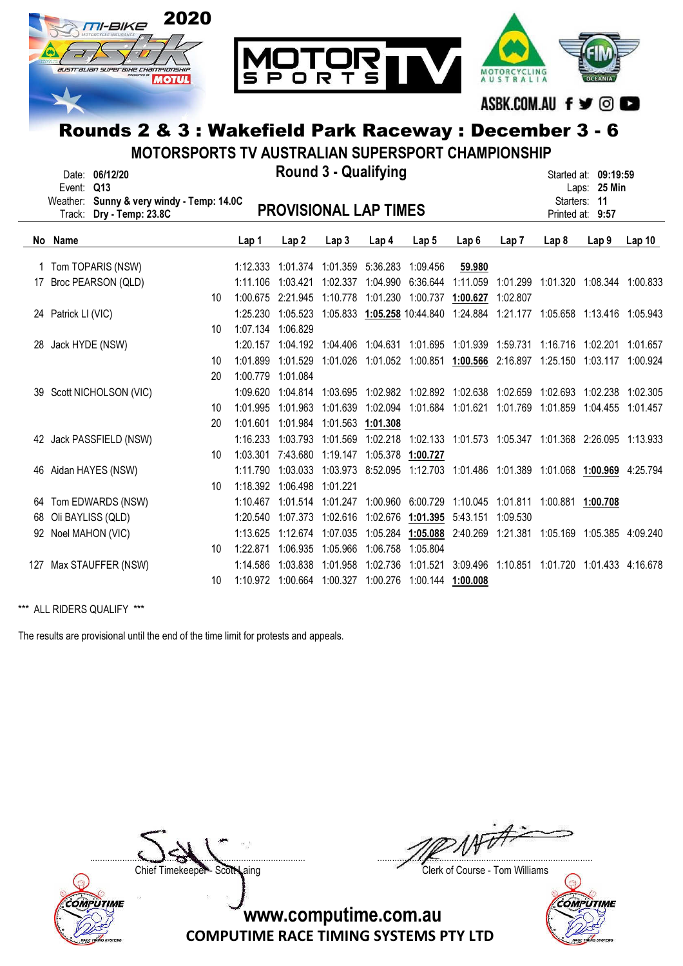

MOTORSPORTS TV AUSTRALIAN SUPERSPORT CHAMPIONSHIP

|     | Event:              | Date: 06/12/20<br>Q13                                 |    |                   |                       | <b>Round 3 - Qualifying</b>            |          |                                                                          |                  |                                              |                                        | Started at: 09:19:59<br>Laps: 25 Min |          |
|-----|---------------------|-------------------------------------------------------|----|-------------------|-----------------------|----------------------------------------|----------|--------------------------------------------------------------------------|------------------|----------------------------------------------|----------------------------------------|--------------------------------------|----------|
|     | Weather:<br>Track:  | Sunny & very windy - Temp: 14.0C<br>Dry - Temp: 23.8C |    |                   |                       | <b>PROVISIONAL LAP TIMES</b>           |          |                                                                          |                  |                                              |                                        | Starters: 11<br>Printed at: 9:57     |          |
|     | No Name             |                                                       |    | Lap 1             | Lap2                  | Lap <sub>3</sub>                       | Lap 4    | Lap <sub>5</sub>                                                         | Lap <sub>6</sub> | Lap7                                         | Lap <sub>8</sub>                       | Lap <sub>9</sub>                     | Lap10    |
|     |                     | 1 Tom TOPARIS (NSW)                                   |    | 1:12.333          |                       | 1:01.374  1:01.359  5:36.283  1:09.456 |          |                                                                          | 59.980           |                                              |                                        |                                      |          |
| 17  |                     | Broc PEARSON (QLD)                                    |    | 1:11.106          | 1:03.421              | 1:02.337                               |          | 1:04.990 6:36.644                                                        | 1:11.059         | 1:01.299 1:01.320 1:08.344 1:00.833          |                                        |                                      |          |
|     |                     |                                                       | 10 | 1:00.675          | 2:21.945              | 1:10.778                               |          | 1:01.230 1:00.737                                                        | 1:00.627         | 1:02.807                                     |                                        |                                      |          |
|     | 24 Patrick LI (VIC) |                                                       |    |                   | 1:25.230 1:05.523     |                                        |          | 1:05.833 1:05.258 10:44.840 1:24.884 1:21.177 1:05.658 1:13.416 1:05.943 |                  |                                              |                                        |                                      |          |
|     |                     |                                                       | 10 | 1:07.134 1:06.829 |                       |                                        |          |                                                                          |                  |                                              |                                        |                                      |          |
|     | 28 Jack HYDE (NSW)  |                                                       |    |                   | 1:20.157 1:04.192     |                                        |          | 1:04.406 1:04.631 1:01.695 1:01.939 1:59.731                             |                  |                                              |                                        | 1:16.716 1:02.201                    | 1:01.657 |
|     |                     |                                                       | 10 | 1:01.899          | 1:01.529              |                                        |          | 1:01.026 1:01.052 1:00.851 1:00.566 2:16.897 1:25.150 1:03.117 1:00.924  |                  |                                              |                                        |                                      |          |
|     |                     |                                                       | 20 | 1:00.779 1:01.084 |                       |                                        |          |                                                                          |                  |                                              |                                        |                                      |          |
|     |                     | 39 Scott NICHOLSON (VIC)                              |    |                   | $1:09.620$ $1:04.814$ |                                        |          | 1:03.695  1:02.982  1:02.892  1:02.638  1:02.659                         |                  |                                              | 1:02.693 1:02.238                      |                                      | 1:02.305 |
|     |                     |                                                       | 10 | 1:01.995          | 1:01.963              |                                        |          | 1:01.639  1:02.094  1:01.684  1:01.621  1:01.769                         |                  |                                              |                                        | 1:01.859 1:04.455 1:01.457           |          |
|     |                     |                                                       | 20 | 1:01.601          | 1:01.984              | 1:01.563 1:01.308                      |          |                                                                          |                  |                                              |                                        |                                      |          |
|     |                     | 42 Jack PASSFIELD (NSW)                               |    | 1:16.233          | 1:03.793              |                                        |          | 1:01.569 1:02.218 1:02.133 1:01.573 1:05.347 1:01.368 2:26.095 1:13.933  |                  |                                              |                                        |                                      |          |
|     |                     |                                                       | 10 | 1:03.301          |                       | 7:43.680 1:19.147 1:05.378 1:00.727    |          |                                                                          |                  |                                              |                                        |                                      |          |
|     |                     | 46 Aidan HAYES (NSW)                                  |    | 1:11.790          | 1:03.033              |                                        |          | 1:03.973 8:52.095 1:12.703 1:01.486 1:01.389 1:01.068 1:00.969 4:25.794  |                  |                                              |                                        |                                      |          |
|     |                     |                                                       | 10 |                   | 1:18.392 1:06.498     | 1:01.221                               |          |                                                                          |                  |                                              |                                        |                                      |          |
|     |                     | 64 Tom EDWARDS (NSW)                                  |    | 1:10.467          | 1:01.514 1:01.247     |                                        |          | 1:00.960 6:00.729 1:10.045 1:01.811 1:00.881 1:00.708                    |                  |                                              |                                        |                                      |          |
| 68  |                     | Oli BAYLISS (QLD)                                     |    |                   | 1:20.540 1:07.373     |                                        |          | 1:02.616 1:02.676 1:01.395 5:43.151                                      |                  | 1:09.530                                     |                                        |                                      |          |
|     | 92 Noel MAHON (VIC) |                                                       |    | 1:13.625          | 1:12.674              | 1:07.035                               |          | 1:05.284 1:05.088                                                        |                  | 2:40.269 1:21.381 1:05.169 1:05.385 4:09.240 |                                        |                                      |          |
|     |                     |                                                       | 10 | 1:22.871          | 1:06.935              | 1:05.966                               | 1:06.758 | 1:05.804                                                                 |                  |                                              |                                        |                                      |          |
| 127 |                     | Max STAUFFER (NSW)                                    |    | 1:14.586          | 1:03.838              | 1:01.958                               | 1:02.736 | 1:01.521                                                                 | 3:09.496         |                                              | 1:10.851  1:01.720  1:01.433  4:16.678 |                                      |          |
|     |                     |                                                       | 10 |                   | 1:10.972 1:00.664     | 1:00.327 1:00.276                      |          | 1:00.144 1:00.008                                                        |                  |                                              |                                        |                                      |          |

\*\*\* ALL RIDERS QUALIFY \*\*\*

The results are provisional until the end of the time limit for protests and appeals.



....................................................................................... .......................................................................................

Chief Timekeeper - Scott Laing Clerk of Course - Tom Williams

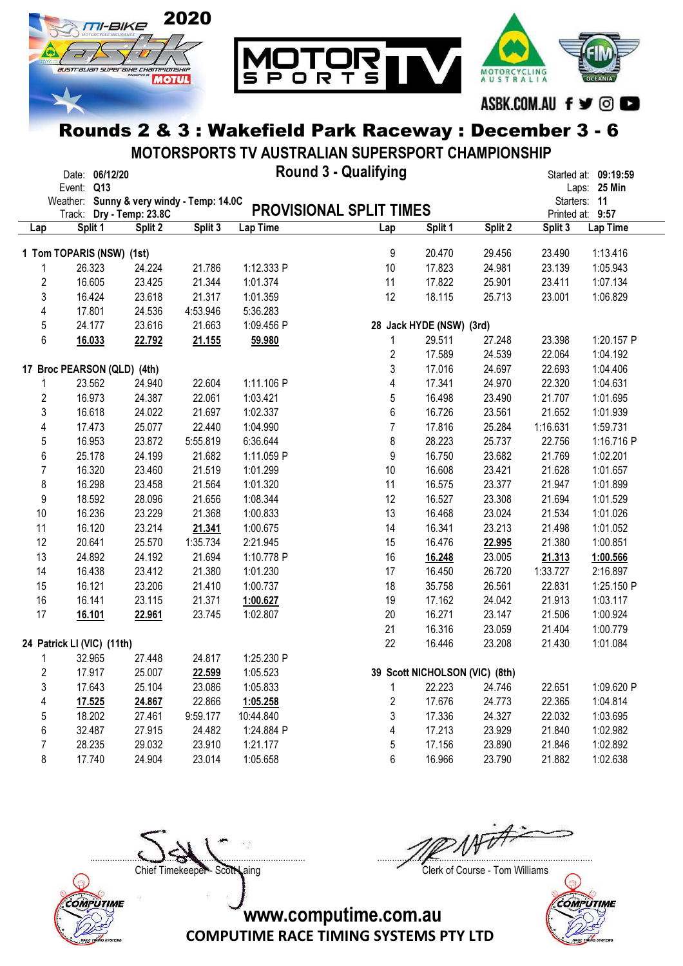

MOTORSPORTS TV AUSTRALIAN SUPERSPORT CHAMPIONSHIP

|     | Round 3 - Qualifying<br>Date: 06/12/20<br>Started at: 09:19:59 |                   |          |            |                                |                                |         |          |                  |
|-----|----------------------------------------------------------------|-------------------|----------|------------|--------------------------------|--------------------------------|---------|----------|------------------|
|     | Event: Q13                                                     |                   |          |            |                                |                                |         |          | Laps: 25 Min     |
|     | Weather: Sunny & very windy - Temp: 14.0C                      |                   |          |            |                                |                                |         |          | Starters: 11     |
|     | Track:                                                         | Dry - Temp: 23.8C |          |            | <b>PROVISIONAL SPLIT TIMES</b> |                                |         |          | Printed at: 9:57 |
| Lap | Split 1                                                        | Split 2           | Split 3  | Lap Time   | Lap                            | Split 1                        | Split 2 | Split 3  | Lap Time         |
|     |                                                                |                   |          |            |                                |                                |         |          |                  |
|     | 1 Tom TOPARIS (NSW) (1st)                                      |                   |          |            | 9                              | 20.470                         | 29.456  | 23.490   | 1:13.416         |
|     | 26.323                                                         | 24.224            | 21.786   | 1:12.333 P | 10                             | 17.823                         | 24.981  | 23.139   | 1:05.943         |
| 2   | 16.605                                                         | 23.425            | 21.344   | 1:01.374   | 11                             | 17.822                         | 25.901  | 23.411   | 1:07.134         |
| 3   | 16.424                                                         | 23.618            | 21.317   | 1:01.359   | 12                             | 18.115                         | 25.713  | 23.001   | 1:06.829         |
| 4   | 17.801                                                         | 24.536            | 4:53.946 | 5:36.283   |                                |                                |         |          |                  |
| 5   | 24.177                                                         | 23.616            | 21.663   | 1:09.456 P |                                | 28 Jack HYDE (NSW) (3rd)       |         |          |                  |
| 6   | 16.033                                                         | 22.792            | 21.155   | 59.980     | 1                              | 29.511                         | 27.248  | 23.398   | 1:20.157 P       |
|     |                                                                |                   |          |            | $\boldsymbol{2}$               | 17.589                         | 24.539  | 22.064   | 1:04.192         |
|     | 17 Broc PEARSON (QLD) (4th)                                    |                   |          |            | 3                              | 17.016                         | 24.697  | 22.693   | 1:04.406         |
|     | 23.562                                                         | 24.940            | 22.604   | 1:11.106 P | 4                              | 17.341                         | 24.970  | 22.320   | 1:04.631         |
| 2   | 16.973                                                         | 24.387            | 22.061   | 1:03.421   | 5                              | 16.498                         | 23.490  | 21.707   | 1:01.695         |
| 3   | 16.618                                                         | 24.022            | 21.697   | 1:02.337   | $6\,$                          | 16.726                         | 23.561  | 21.652   | 1:01.939         |
| 4   | 17.473                                                         | 25.077            | 22.440   | 1:04.990   | $\overline{7}$                 | 17.816                         | 25.284  | 1:16.631 | 1:59.731         |
| 5   | 16.953                                                         | 23.872            | 5:55.819 | 6:36.644   | 8                              | 28.223                         | 25.737  | 22.756   | 1:16.716 P       |
| 6   | 25.178                                                         | 24.199            | 21.682   | 1:11.059 P | 9                              | 16.750                         | 23.682  | 21.769   | 1:02.201         |
| 7   | 16.320                                                         | 23.460            | 21.519   | 1:01.299   | 10                             | 16.608                         | 23.421  | 21.628   | 1:01.657         |
| 8   | 16.298                                                         | 23.458            | 21.564   | 1:01.320   | 11                             | 16.575                         | 23.377  | 21.947   | 1:01.899         |
| 9   | 18.592                                                         | 28.096            | 21.656   | 1:08.344   | 12                             | 16.527                         | 23.308  | 21.694   | 1:01.529         |
| 10  | 16.236                                                         | 23.229            | 21.368   | 1:00.833   | 13                             | 16.468                         | 23.024  | 21.534   | 1:01.026         |
| 11  | 16.120                                                         | 23.214            | 21.341   | 1:00.675   | 14                             | 16.341                         | 23.213  | 21.498   | 1:01.052         |
| 12  | 20.641                                                         | 25.570            | 1:35.734 | 2:21.945   | 15                             | 16.476                         | 22.995  | 21.380   | 1:00.851         |
| 13  | 24.892                                                         | 24.192            | 21.694   | 1:10.778 P | 16                             | 16.248                         | 23.005  | 21.313   | 1:00.566         |
| 14  | 16.438                                                         | 23.412            | 21.380   | 1:01.230   | 17                             | 16.450                         | 26.720  | 1:33.727 | 2:16.897         |
| 15  | 16.121                                                         | 23.206            | 21.410   | 1:00.737   | 18                             | 35.758                         | 26.561  | 22.831   | 1:25.150 P       |
| 16  | 16.141                                                         | 23.115            | 21.371   | 1:00.627   | 19                             | 17.162                         | 24.042  | 21.913   | 1:03.117         |
| 17  | 16.101                                                         | 22.961            | 23.745   | 1:02.807   | 20                             | 16.271                         | 23.147  | 21.506   | 1:00.924         |
|     |                                                                |                   |          |            | 21                             | 16.316                         | 23.059  | 21.404   | 1:00.779         |
|     | 24 Patrick LI (VIC) (11th)                                     |                   |          |            | 22                             | 16.446                         | 23.208  | 21.430   | 1:01.084         |
|     | 32.965                                                         | 27.448            | 24.817   | 1:25.230 P |                                |                                |         |          |                  |
| 2   | 17.917                                                         | 25.007            | 22.599   | 1:05.523   |                                | 39 Scott NICHOLSON (VIC) (8th) |         |          |                  |
| 3   | 17.643                                                         | 25.104            | 23.086   | 1:05.833   | 1                              | 22.223                         | 24.746  | 22.651   | 1:09.620 P       |
| 4   | 17.525                                                         | 24.867            | 22.866   | 1:05.258   | $\overline{2}$                 | 17.676                         | 24.773  | 22.365   | 1:04.814         |
| 5   | 18.202                                                         | 27.461            | 9:59.177 | 10:44.840  | 3                              | 17.336                         | 24.327  | 22.032   | 1:03.695         |
| 6   | 32.487                                                         | 27.915            | 24.482   | 1:24.884 P | 4                              | 17.213                         | 23.929  | 21.840   | 1:02.982         |
| 7   | 28.235                                                         | 29.032            | 23.910   | 1:21.177   | 5                              | 17.156                         | 23.890  | 21.846   | 1:02.892         |
| 8   | 17.740                                                         | 24.904            | 23.014   | 1:05.658   | 6                              | 16.966                         | 23.790  | 21.882   | 1:02.638         |



....................................................................................... .......................................................................................

Chief Timekeeper - Scott Laing Clerk of Course - Tom Williams

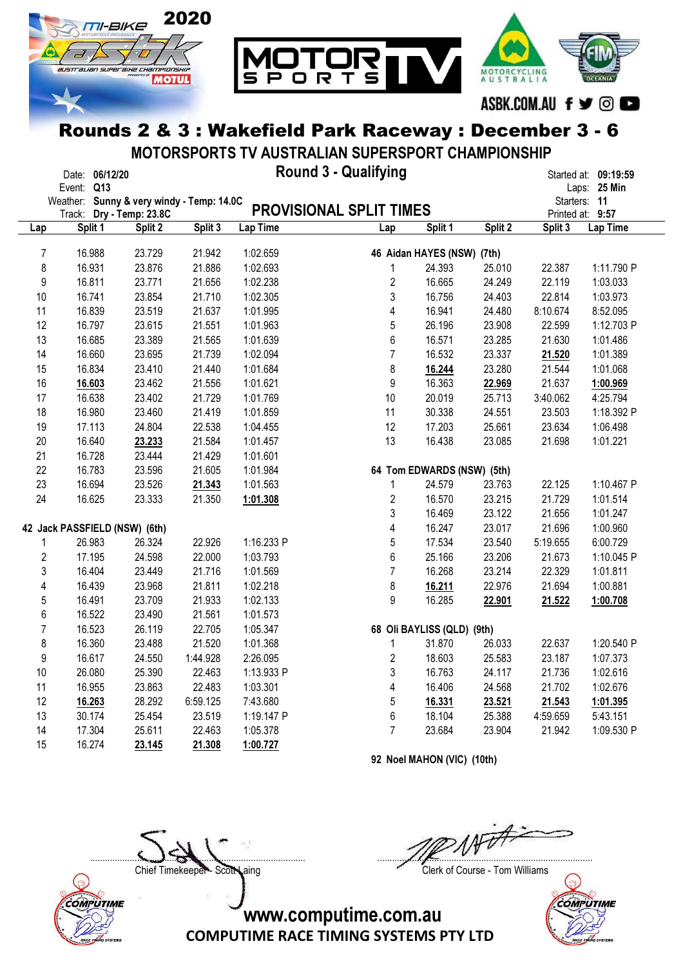

MOTORSPORTS TV AUSTRALIAN SUPERSPORT CHAMPIONSHIP

|                | Date: 06/12/20                            |         |          |            | <b>Round 3 - Qualifying</b>    |                            |         |          | Started at: 09:19:59 |
|----------------|-------------------------------------------|---------|----------|------------|--------------------------------|----------------------------|---------|----------|----------------------|
|                | Event: Q13                                |         |          |            |                                |                            |         |          | Laps: 25 Min         |
|                | Weather: Sunny & very windy - Temp: 14.0C |         |          |            |                                |                            |         |          | Starters: 11         |
|                | Track: Dry - Temp: 23.8C                  |         |          |            | <b>PROVISIONAL SPLIT TIMES</b> |                            |         |          | Printed at: 9:57     |
| Lap            | Split 1                                   | Split 2 | Split 3  | Lap Time   | Lap                            | Split 1                    | Split 2 | Split 3  | Lap Time             |
| $\overline{7}$ | 16.988                                    | 23.729  | 21.942   | 1:02.659   |                                | 46 Aidan HAYES (NSW) (7th) |         |          |                      |
| 8              | 16.931                                    | 23.876  | 21.886   | 1:02.693   | 1                              | 24.393                     | 25.010  | 22.387   | 1:11.790 P           |
| 9              | 16.811                                    | 23.771  | 21.656   | 1:02.238   | $\overline{2}$                 | 16.665                     | 24.249  | 22.119   | 1:03.033             |
| 10             | 16.741                                    | 23.854  | 21.710   | 1:02.305   | 3                              | 16.756                     | 24.403  | 22.814   | 1:03.973             |
| 11             | 16.839                                    | 23.519  | 21.637   | 1:01.995   | 4                              | 16.941                     | 24.480  | 8:10.674 | 8:52.095             |
| 12             | 16.797                                    | 23.615  | 21.551   | 1:01.963   | 5                              | 26.196                     | 23.908  | 22.599   | 1:12.703 P           |
| 13             | 16.685                                    | 23.389  | 21.565   | 1:01.639   | 6                              | 16.571                     | 23.285  | 21.630   | 1:01.486             |
| 14             | 16.660                                    | 23.695  | 21.739   | 1:02.094   | $\overline{7}$                 | 16.532                     | 23.337  | 21.520   | 1:01.389             |
| 15             | 16.834                                    | 23.410  | 21.440   | 1:01.684   | 8                              | 16.244                     | 23.280  | 21.544   | 1:01.068             |
| 16             | 16.603                                    | 23.462  | 21.556   | 1:01.621   | 9                              | 16.363                     | 22.969  | 21.637   | 1:00.969             |
| 17             | 16.638                                    | 23.402  | 21.729   | 1:01.769   | 10                             | 20.019                     | 25.713  | 3:40.062 | 4:25.794             |
| 18             | 16.980                                    | 23.460  | 21.419   | 1:01.859   | 11                             | 30.338                     | 24.551  | 23.503   | 1:18.392 P           |
| 19             | 17.113                                    | 24.804  | 22.538   | 1:04.455   | 12                             | 17.203                     | 25.661  | 23.634   | 1:06.498             |
| 20             | 16.640                                    | 23.233  | 21.584   | 1:01.457   | 13                             | 16.438                     | 23.085  | 21.698   | 1:01.221             |
| 21             | 16.728                                    | 23.444  | 21.429   | 1:01.601   |                                |                            |         |          |                      |
| 22             | 16.783                                    | 23.596  | 21.605   | 1:01.984   |                                | 64 Tom EDWARDS (NSW) (5th) |         |          |                      |
| 23             | 16.694                                    | 23.526  | 21.343   | 1:01.563   | 1                              | 24.579                     | 23.763  | 22.125   | 1:10.467 P           |
| 24             | 16.625                                    | 23.333  | 21.350   | 1:01.308   | $\overline{c}$                 | 16.570                     | 23.215  | 21.729   | 1:01.514             |
|                |                                           |         |          |            | 3                              | 16.469                     | 23.122  | 21.656   | 1:01.247             |
|                | 42 Jack PASSFIELD (NSW) (6th)             |         |          |            | 4                              | 16.247                     | 23.017  | 21.696   | 1:00.960             |
| 1              | 26.983                                    | 26.324  | 22.926   | 1:16.233 P | 5                              | 17.534                     | 23.540  | 5:19.655 | 6:00.729             |
| $\overline{c}$ | 17.195                                    | 24.598  | 22.000   | 1:03.793   | 6                              | 25.166                     | 23.206  | 21.673   | 1:10.045 P           |
| 3              | 16.404                                    | 23.449  | 21.716   | 1:01.569   | $\overline{7}$                 | 16.268                     | 23.214  | 22.329   | 1:01.811             |
| 4              | 16.439                                    | 23.968  | 21.811   | 1:02.218   | 8                              | 16.211                     | 22.976  | 21.694   | 1:00.881             |
| 5              | 16.491                                    | 23.709  | 21.933   | 1:02.133   | 9                              | 16.285                     | 22.901  | 21.522   | 1:00.708             |
| 6              | 16.522                                    | 23.490  | 21.561   | 1:01.573   |                                |                            |         |          |                      |
| $\overline{7}$ | 16.523                                    | 26.119  | 22.705   | 1:05.347   |                                | 68 Oli BAYLISS (QLD) (9th) |         |          |                      |
| 8              | 16.360                                    | 23.488  | 21.520   | 1:01.368   | $\mathbf{1}$                   | 31.870                     | 26.033  | 22.637   | 1:20.540 P           |
| 9              | 16.617                                    | 24.550  | 1:44.928 | 2:26.095   | $\overline{c}$                 | 18.603                     | 25.583  | 23.187   | 1:07.373             |
| 10             | 26.080                                    | 25.390  | 22.463   | 1:13.933 P | 3                              | 16.763                     | 24.117  | 21.736   | 1:02.616             |
| 11             | 16.955                                    | 23.863  | 22.483   | 1:03.301   | 4                              | 16.406                     | 24.568  | 21.702   | 1:02.676             |
| 12             | 16.263                                    | 28.292  | 6:59.125 | 7:43.680   | 5                              | 16.331                     | 23.521  | 21.543   | 1:01.395             |
| 13             | 30.174                                    | 25.454  | 23.519   | 1:19.147 P | 6                              | 18.104                     | 25.388  | 4:59.659 | 5:43.151             |
| 14             | 17.304                                    | 25.611  | 22.463   | 1:05.378   | $\overline{7}$                 | 23.684                     | 23.904  | 21.942   | 1:09.530 P           |
| 15             | 16.274                                    | 23.145  | 21.308   | 1:00.727   |                                |                            |         |          |                      |

92 Noel MAHON (VIC) (10th)



....................................................................................... .......................................................................................

Chief Timekeeper - Scott Laing Chief Timekeeper - Scott Laing

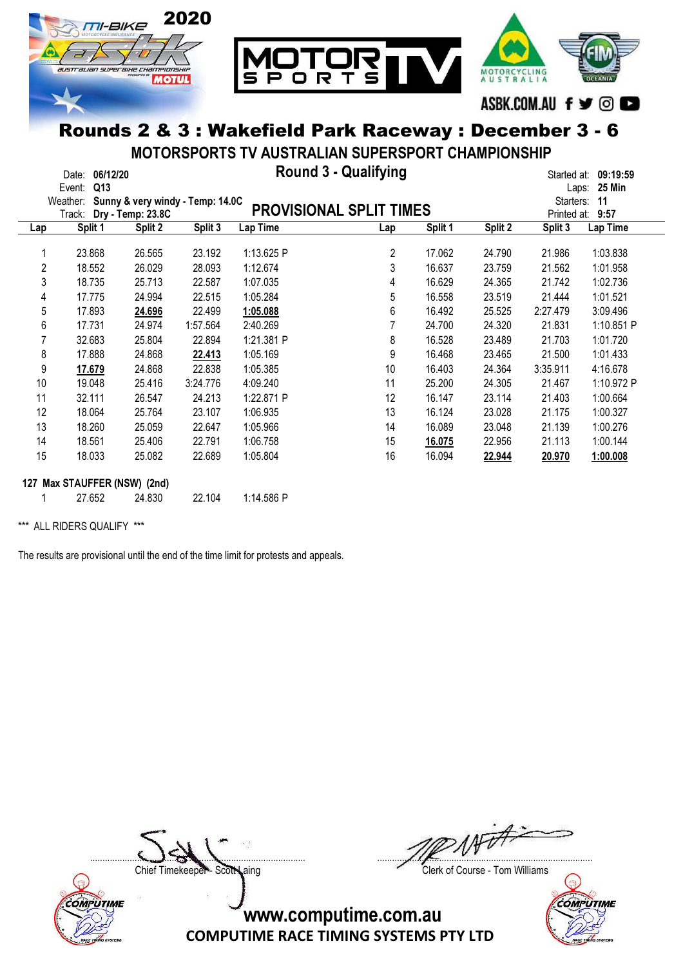

MOTORSPORTS TV AUSTRALIAN SUPERSPORT CHAMPIONSHIP

|                | 06/12/20<br>Date:<br>Q13<br>Event: |                                                       |          |            | <b>Round 3 - Qualifying</b>    |         |         | Started at:<br>Laps:     | 09:19:59<br><b>25 Min</b> |
|----------------|------------------------------------|-------------------------------------------------------|----------|------------|--------------------------------|---------|---------|--------------------------|---------------------------|
|                | Weather:<br>Track:                 | Sunny & very windy - Temp: 14.0C<br>Dry - Temp: 23.8C |          |            | <b>PROVISIONAL SPLIT TIMES</b> |         |         | Starters:<br>Printed at: | 11<br>9:57                |
| Lap            | Split 1                            | Split 2                                               | Split 3  | Lap Time   | Lap                            | Split 1 | Split 2 | Split 3                  | Lap Time                  |
| 1              | 23.868                             | 26.565                                                | 23.192   | 1:13.625 P | 2                              | 17.062  | 24.790  | 21.986                   | 1:03.838                  |
| $\overline{2}$ | 18.552                             | 26.029                                                | 28.093   | 1:12.674   | 3                              | 16.637  | 23.759  | 21.562                   | 1:01.958                  |
| 3              | 18.735                             | 25.713                                                | 22.587   | 1:07.035   | 4                              | 16.629  | 24.365  | 21.742                   | 1:02.736                  |
| 4              | 17.775                             | 24.994                                                | 22.515   | 1:05.284   | 5                              | 16.558  | 23.519  | 21.444                   | 1:01.521                  |
| 5              | 17.893                             | 24.696                                                | 22.499   | 1:05.088   | 6                              | 16.492  | 25.525  | 2:27.479                 | 3:09.496                  |
| 6              | 17.731                             | 24.974                                                | 1:57.564 | 2:40.269   |                                | 24.700  | 24.320  | 21.831                   | 1:10.851 P                |
| 7              | 32.683                             | 25.804                                                | 22.894   | 1:21.381 P | 8                              | 16.528  | 23.489  | 21.703                   | 1:01.720                  |
| 8              | 17.888                             | 24.868                                                | 22.413   | 1:05.169   | 9                              | 16.468  | 23.465  | 21.500                   | 1:01.433                  |
| 9              | 17.679                             | 24.868                                                | 22.838   | 1:05.385   | 10                             | 16.403  | 24.364  | 3:35.911                 | 4:16.678                  |
| 10             | 19.048                             | 25.416                                                | 3:24.776 | 4:09.240   | 11                             | 25.200  | 24.305  | 21.467                   | 1:10.972 P                |
| 11             | 32.111                             | 26.547                                                | 24.213   | 1:22.871 P | 12                             | 16.147  | 23.114  | 21.403                   | 1:00.664                  |
| 12             | 18.064                             | 25.764                                                | 23.107   | 1:06.935   | 13                             | 16.124  | 23.028  | 21.175                   | 1:00.327                  |
| 13             | 18.260                             | 25.059                                                | 22.647   | 1:05.966   | 14                             | 16.089  | 23.048  | 21.139                   | 1:00.276                  |
| 14             | 18.561                             | 25.406                                                | 22.791   | 1:06.758   | 15                             | 16.075  | 22.956  | 21.113                   | 1:00.144                  |
| 15             | 18.033                             | 25.082                                                | 22.689   | 1:05.804   | 16                             | 16.094  | 22.944  | 20.970                   | 1:00.008                  |
|                | 127 Max STAUFFER (NSW) (2nd)       |                                                       |          |            |                                |         |         |                          |                           |
|                | 27.652                             | 24.830                                                | 22.104   | 1:14.586 P |                                |         |         |                          |                           |

\*\*\* ALL RIDERS QUALIFY \*\*\*

The results are provisional until the end of the time limit for protests and appeals.



....................................................................................... .......................................................................................

Chief Timekeeper - Scott Laing Clerk of Course - Tom Williams

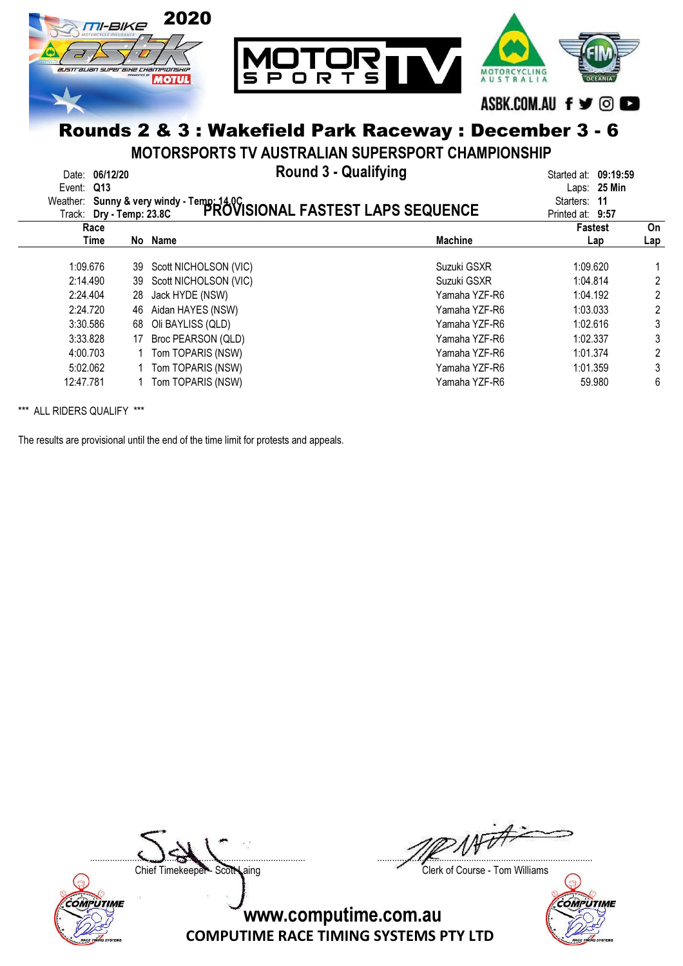

MOTORSPORTS TV AUSTRALIAN SUPERSPORT CHAMPIONSHIP

Date: 06/12/20 Round 3 - Qualifying Started at: 09:19:59

| Event: Q13 |                          |                       | Weather: Sunny & very windy - Temp: 14.0C<br>Track: Drv - Temp: 23.8C PROVISIONAL FASTEST LAPS SEQUENCE | Laps: 25 Min<br>Starters: | -11 |
|------------|--------------------------|-----------------------|---------------------------------------------------------------------------------------------------------|---------------------------|-----|
|            | Track: Dry - Temp: 23.8C |                       |                                                                                                         | Printed at: 9:57          |     |
|            | Race                     |                       |                                                                                                         | <b>Fastest</b>            | On  |
|            | Time                     | No Name               | <b>Machine</b>                                                                                          | Lap                       | Lap |
|            | 1:09.676<br>39           | Scott NICHOLSON (VIC) | Suzuki GSXR                                                                                             | 1:09.620                  |     |
| 2:14.490   | 39                       | Scott NICHOLSON (VIC) | Suzuki GSXR                                                                                             | 1:04.814                  | 2   |
| 2:24.404   | 28                       | Jack HYDE (NSW)       | Yamaha YZF-R6                                                                                           | 1:04.192                  | 2   |
| 2:24.720   | 46                       | Aidan HAYES (NSW)     | Yamaha YZF-R6                                                                                           | 1:03.033                  | 2   |
|            | 3:30.586<br>68           | Oli BAYLISS (QLD)     | Yamaha YZF-R6                                                                                           | 1:02.616                  |     |
|            | 3:33.828<br>17           | Broc PEARSON (QLD)    | Yamaha YZF-R6                                                                                           | 1:02.337                  | 3   |
| 4:00.703   |                          | Tom TOPARIS (NSW)     | Yamaha YZF-R6                                                                                           | 1:01.374                  | 2   |
| 5:02.062   |                          | 1 Tom TOPARIS (NSW)   | Yamaha YZF-R6                                                                                           | 1:01.359                  | 3   |
| 12:47.781  |                          | Tom TOPARIS (NSW)     | Yamaha YZF-R6                                                                                           | 59.980                    | 6   |

\*\*\* ALL RIDERS QUALIFY \*\*\*

The results are provisional until the end of the time limit for protests and appeals.



....................................................................................... .......................................................................................

Chief Timekeeper - Scott Laing Clerk of Course - Tom Williams

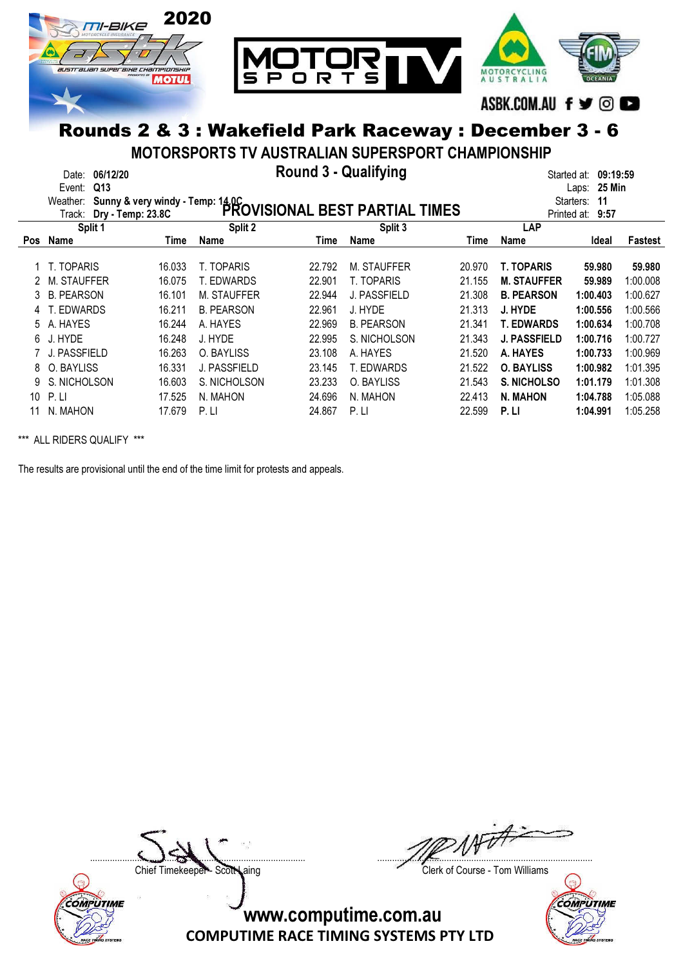

MOTORSPORTS TV AUSTRALIAN SUPERSPORT CHAMPIONSHIP

|     | Date:<br>Event:<br>Weather:<br>Track: | 06/12/20<br>Q13 |        | Sunny & very windy - Temp: 14.0C<br>Dry - Temp: 23.8C PROVISIONAL BEST PARTIAL TIMES | <b>Round 3 - Qualifying</b> |                   |        |                     | 09:19:59<br>Started at:<br><b>25 Min</b><br>Laps:<br>11<br>Starters:<br>9:57<br>Printed at: |                |
|-----|---------------------------------------|-----------------|--------|--------------------------------------------------------------------------------------|-----------------------------|-------------------|--------|---------------------|---------------------------------------------------------------------------------------------|----------------|
|     |                                       | Split 1         |        | Split 2                                                                              |                             | Split 3           |        | LAP                 |                                                                                             |                |
| Pos | Name                                  |                 | Time   | Name                                                                                 | Time                        | <b>Name</b>       | Time   | <b>Name</b>         | Ideal                                                                                       | <b>Fastest</b> |
|     | 1 T. TOPARIS                          |                 | 16.033 | T. TOPARIS                                                                           | 22.792                      | M. STAUFFER       | 20.970 | <b>T. TOPARIS</b>   | 59,980                                                                                      | 59.980         |
| 2   | M. STAUFFER                           |                 | 16.075 | T. EDWARDS                                                                           | 22.901                      | T. TOPARIS        | 21.155 | <b>M. STAUFFER</b>  | 59.989                                                                                      | 1:00.008       |
| 3   | <b>B. PEARSON</b>                     |                 | 16.101 | M. STAUFFER                                                                          | 22.944                      | J. PASSFIELD      | 21.308 | <b>B. PEARSON</b>   | 1:00.403                                                                                    | 1:00.627       |
| 4   | T. EDWARDS                            |                 | 16.211 | <b>B. PEARSON</b>                                                                    | 22.961                      | J. HYDE           | 21.313 | J. HYDE             | 1:00.556                                                                                    | 1:00.566       |
| 5.  | A. HAYES                              |                 | 16.244 | A. HAYES                                                                             | 22.969                      | <b>B. PEARSON</b> | 21.341 | <b>T. EDWARDS</b>   | 1:00.634                                                                                    | 1:00.708       |
| 6.  | J. HYDE                               |                 | 16.248 | J. HYDE                                                                              | 22.995                      | S. NICHOLSON      | 21.343 | <b>J. PASSFIELD</b> | 1:00.716                                                                                    | 1:00.727       |
|     | J. PASSFIELD                          |                 | 16.263 | O. BAYLISS                                                                           | 23.108                      | A. HAYES          | 21.520 | A. HAYES            | 1:00.733                                                                                    | 1:00.969       |
| 8   | O. BAYLISS                            |                 | 16.331 | J. PASSFIELD                                                                         | 23.145                      | T. EDWARDS        | 21.522 | <b>O. BAYLISS</b>   | 1:00.982                                                                                    | 1:01.395       |
|     | S. NICHOLSON                          |                 | 16.603 | S. NICHOLSON                                                                         | 23.233                      | O. BAYLISS        | 21.543 | S. NICHOLSO         | 1:01.179                                                                                    | 1:01.308       |
| 10  | P.LI                                  |                 | 17.525 | N. MAHON                                                                             | 24.696                      | N. MAHON          | 22.413 | <b>N. MAHON</b>     | 1:04.788                                                                                    | 1:05.088       |
|     | N. MAHON                              |                 | 17.679 | P.L                                                                                  | 24.867                      | P.LI              | 22.599 | P. LI               | 1:04.991                                                                                    | 1:05.258       |

\*\*\* ALL RIDERS QUALIFY \*\*\*

The results are provisional until the end of the time limit for protests and appeals.



....................................................................................... .......................................................................................

Chief Timekeeper - Scott Laing Clerk of Course - Tom Williams

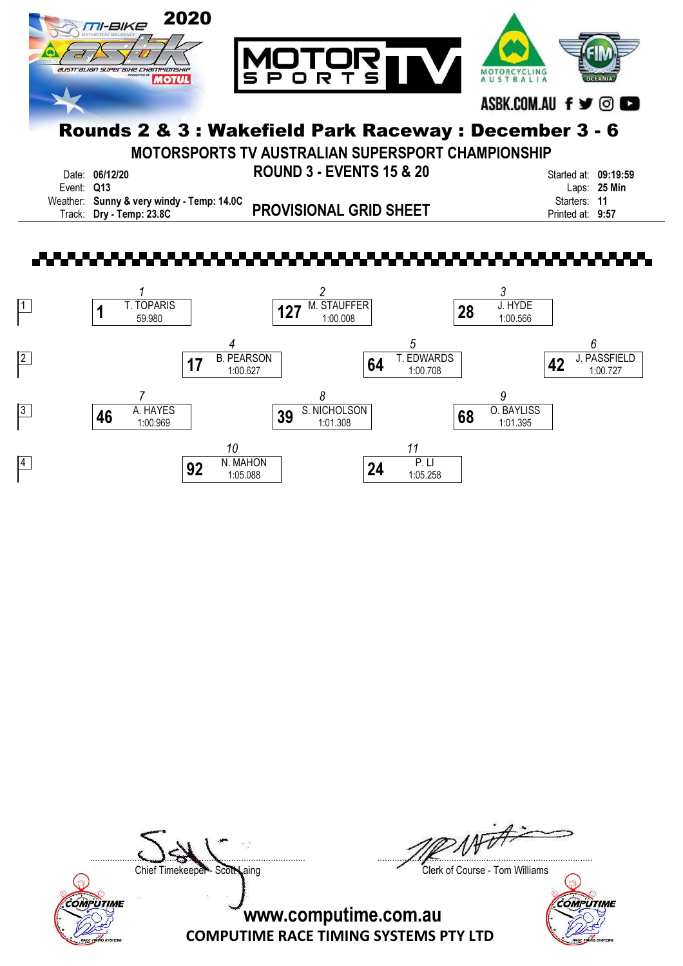

MOTORSPORTS TV AUSTRALIAN SUPERSPORT CHAMPIONSHIP

Date: 06/12/20 ROUND 3 - EVENTS 15 & 20 Started at: 09:19:59 PROVISIONAL GRID SHEET Track: Dry - Temp: 23.8C Printed at: 9:57 Weather: Sunny & very windy - Temp: 14.0C<br>Track: Dry - Temp: 23.8C **PROVISIONAL GRID SHEET** Starters: 11<br>Printed at: 9:57

Event: Q13 Laps: 25 Min





 $\nu \dot{\vec{r}}$ ....................................................................................... .......................................................................................

Chief Timekeeper - Scott Laing Clerk of Course - Tom Williams

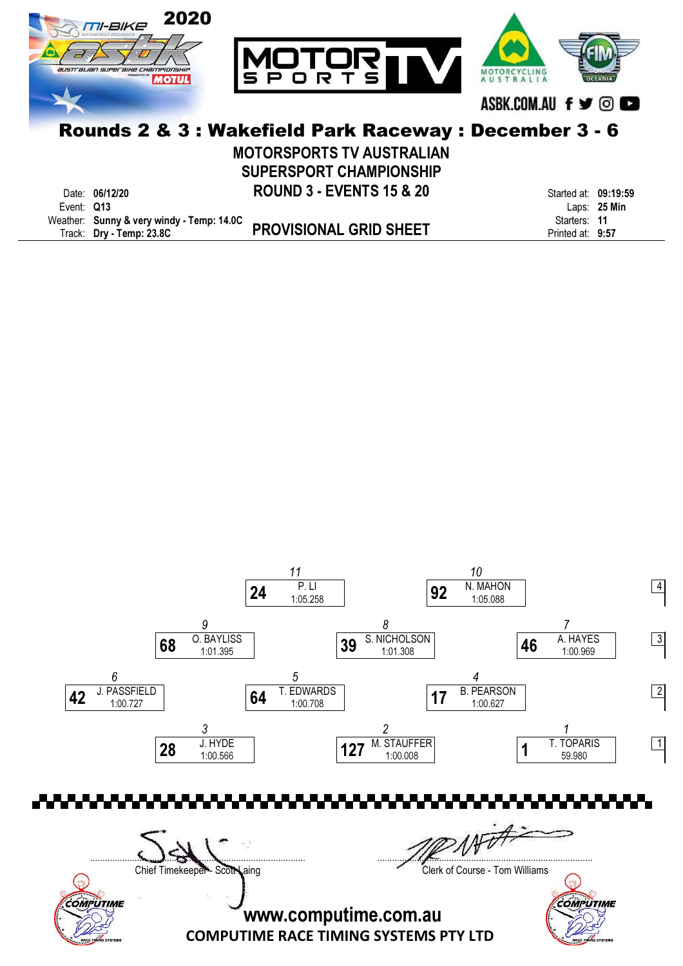

MOTORSPORTS TV AUSTRALIAN SUPERSPORT CHAMPIONSHIP

|            | Date: 06/12/20                            | <b>ROUND 3 - EVENTS 15 &amp; 20</b> | Started at: 09:19:59 |                |
|------------|-------------------------------------------|-------------------------------------|----------------------|----------------|
| Event: Q13 |                                           |                                     |                      | Laps: $25$ Min |
|            | Weather: Sunny & very windy - Temp: 14.0C |                                     | Starters: 11         |                |
|            | Track: Dry - Temp: 23.8C                  | <b>PROVISIONAL GRID SHEET</b>       | Printed at: 9:57     |                |